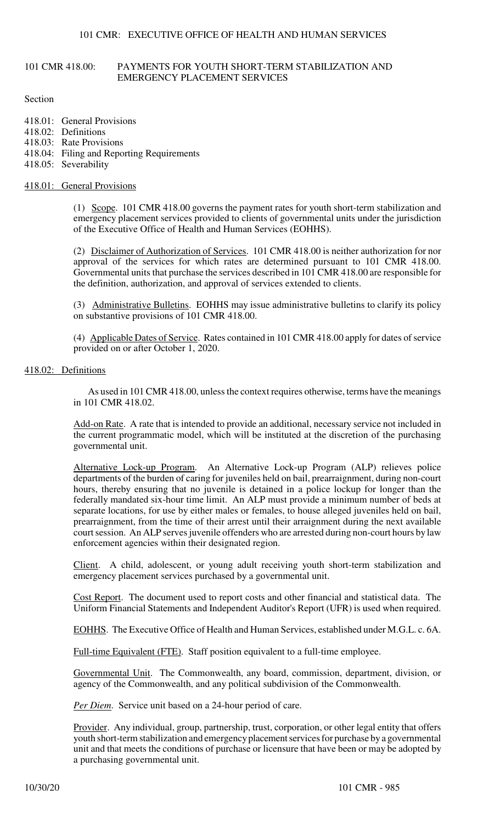### 101 CMR 418.00: PAYMENTS FOR YOUTH SHORT-TERM STABILIZATION AND EMERGENCY PLACEMENT SERVICES

Section

- 418.01: General Provisions 418.02: Definitions 418.03: Rate Provisions 418.04: Filing and Reporting Requirements
- 418.05: Severability
- 

## 418.01: General Provisions

(1) Scope. 101 CMR 418.00 governs the payment rates for youth short-term stabilization and emergency placement services provided to clients of governmental units under the jurisdiction of the Executive Office of Health and Human Services (EOHHS).

(2) Disclaimer of Authorization of Services. 101 CMR 418.00 is neither authorization for nor approval of the services for which rates are determined pursuant to 101 CMR 418.00. Governmental units that purchase the services described in 101 CMR 418.00 are responsible for the definition, authorization, and approval of services extended to clients.

(3) Administrative Bulletins. EOHHS may issue administrative bulletins to clarify its policy on substantive provisions of 101 CMR 418.00.

(4) Applicable Dates of Service. Rates contained in 101 CMR 418.00 apply for dates of service provided on or after October 1, 2020.

#### 418.02: Definitions

As used in 101 CMR 418.00, unless the context requires otherwise, terms have the meanings in 101 CMR 418.02.

Add-on Rate. A rate that is intended to provide an additional, necessary service not included in the current programmatic model, which will be instituted at the discretion of the purchasing governmental unit.

Alternative Lock-up Program. An Alternative Lock-up Program (ALP) relieves police departments of the burden of caring for juveniles held on bail, prearraignment, during non-court hours, thereby ensuring that no juvenile is detained in a police lockup for longer than the federally mandated six-hour time limit. An ALP must provide a minimum number of beds at separate locations, for use by either males or females, to house alleged juveniles held on bail, prearraignment, from the time of their arrest until their arraignment during the next available court session. An ALP serves juvenile offenders who are arrested during non-court hours by law enforcement agencies within their designated region.

Client. A child, adolescent, or young adult receiving youth short-term stabilization and emergency placement services purchased by a governmental unit.

Cost Report. The document used to report costs and other financial and statistical data. The Uniform Financial Statements and Independent Auditor's Report (UFR) is used when required.

EOHHS. The Executive Office of Health and Human Services, established under M.G.L. c. 6A.

Full-time Equivalent (FTE). Staff position equivalent to a full-time employee.

Governmental Unit. The Commonwealth, any board, commission, department, division, or agency of the Commonwealth, and any political subdivision of the Commonwealth.

*Per Diem.* Service unit based on a 24-hour period of care.

Provider. Any individual, group, partnership, trust, corporation, or other legal entity that offers youth short-term stabilization and emergency placement services for purchase by a governmental unit and that meets the conditions of purchase or licensure that have been or may be adopted by a purchasing governmental unit.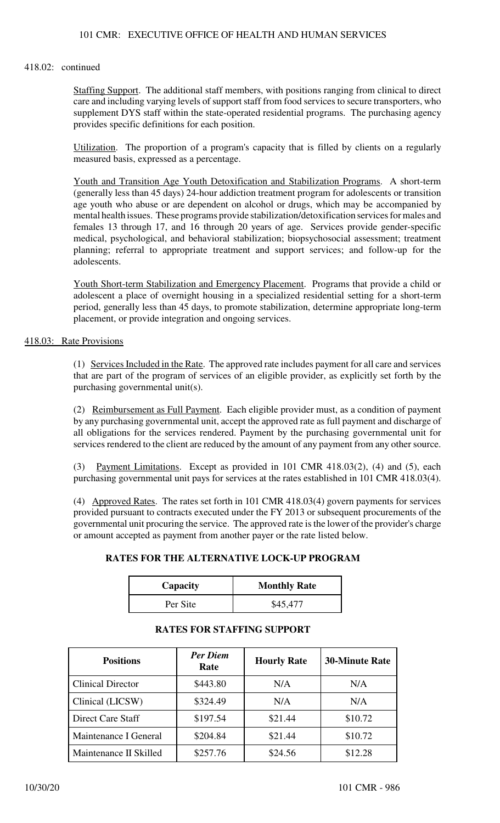## 418.02: continued

Staffing Support. The additional staff members, with positions ranging from clinical to direct care and including varying levels of support staff from food services to secure transporters, who supplement DYS staff within the state-operated residential programs. The purchasing agency provides specific definitions for each position.

Utilization. The proportion of a program's capacity that is filled by clients on a regularly measured basis, expressed as a percentage.

Youth and Transition Age Youth Detoxification and Stabilization Programs. A short-term (generally less than 45 days) 24-hour addiction treatment program for adolescents or transition age youth who abuse or are dependent on alcohol or drugs, which may be accompanied by mental health issues. These programs provide stabilization/detoxification services for males and females 13 through 17, and 16 through 20 years of age. Services provide gender-specific medical, psychological, and behavioral stabilization; biopsychosocial assessment; treatment planning; referral to appropriate treatment and support services; and follow-up for the adolescents.

Youth Short-term Stabilization and Emergency Placement. Programs that provide a child or adolescent a place of overnight housing in a specialized residential setting for a short-term period, generally less than 45 days, to promote stabilization, determine appropriate long-term placement, or provide integration and ongoing services.

#### 418.03: Rate Provisions

(1) Services Included in the Rate. The approved rate includes payment for all care and services that are part of the program of services of an eligible provider, as explicitly set forth by the purchasing governmental unit(s).

(2) Reimbursement as Full Payment. Each eligible provider must, as a condition of payment by any purchasing governmental unit, accept the approved rate as full payment and discharge of all obligations for the services rendered. Payment by the purchasing governmental unit for services rendered to the client are reduced by the amount of any payment from any other source.

(3) Payment Limitations. Except as provided in 101 CMR 418.03(2), (4) and (5), each purchasing governmental unit pays for services at the rates established in 101 CMR 418.03(4).

(4) Approved Rates. The rates set forth in 101 CMR 418.03(4) govern payments for services provided pursuant to contracts executed under the FY 2013 or subsequent procurements of the governmental unit procuring the service. The approved rate is the lower of the provider's charge or amount accepted as payment from another payer or the rate listed below.

## **RATES FOR THE ALTERNATIVE LOCK-UP PROGRAM**

| Capacity | <b>Monthly Rate</b> |
|----------|---------------------|
| Per Site | \$45,477            |

## **RATES FOR STAFFING SUPPORT**

| <b>Positions</b>         | <b>Per Diem</b><br>Rate | <b>Hourly Rate</b> | <b>30-Minute Rate</b> |
|--------------------------|-------------------------|--------------------|-----------------------|
| <b>Clinical Director</b> | \$443.80                | N/A                | N/A                   |
| Clinical (LICSW)         | \$324.49                | N/A                | N/A                   |
| Direct Care Staff        | \$197.54                | \$21.44            | \$10.72               |
| Maintenance I General    | \$204.84                | \$21.44            | \$10.72               |
| Maintenance II Skilled   | \$257.76                | \$24.56            | \$12.28               |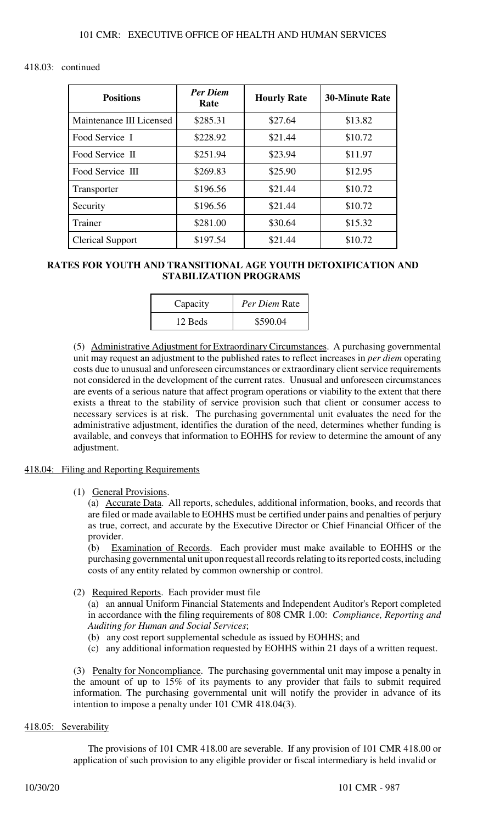## 418.03: continued

| <b>Positions</b>         | <b>Per Diem</b><br>Rate | <b>Hourly Rate</b> | <b>30-Minute Rate</b> |
|--------------------------|-------------------------|--------------------|-----------------------|
| Maintenance III Licensed | \$285.31                | \$27.64            | \$13.82               |
| Food Service I           | \$228.92                | \$21.44            | \$10.72               |
| Food Service II          | \$251.94                | \$23.94            | \$11.97               |
| Food Service III         | \$269.83                | \$25.90            | \$12.95               |
| Transporter              | \$196.56                | \$21.44            | \$10.72               |
| Security                 | \$196.56                | \$21.44            | \$10.72               |
| Trainer                  | \$281.00                | \$30.64            | \$15.32               |
| <b>Clerical Support</b>  | \$197.54                | \$21.44            | \$10.72               |

## **RATES FOR YOUTH AND TRANSITIONAL AGE YOUTH DETOXIFICATION AND STABILIZATION PROGRAMS**

| Capacity | Per Diem Rate |
|----------|---------------|
| 12 Beds  | \$590.04      |

(5) Administrative Adjustment for Extraordinary Circumstances. A purchasing governmental unit may request an adjustment to the published rates to reflect increases in *per diem* operating costs due to unusual and unforeseen circumstances or extraordinary client service requirements not considered in the development of the current rates. Unusual and unforeseen circumstances are events of a serious nature that affect program operations or viability to the extent that there exists a threat to the stability of service provision such that client or consumer access to necessary services is at risk. The purchasing governmental unit evaluates the need for the administrative adjustment, identifies the duration of the need, determines whether funding is available, and conveys that information to EOHHS for review to determine the amount of any adjustment.

## 418.04: Filing and Reporting Requirements

(1) General Provisions.

(a) Accurate Data. All reports, schedules, additional information, books, and records that are filed or made available to EOHHS must be certified under pains and penalties of perjury as true, correct, and accurate by the Executive Director or Chief Financial Officer of the provider.

(b) Examination of Records. Each provider must make available to EOHHS or the purchasing governmental unit upon request all records relating to its reported costs, including costs of any entity related by common ownership or control.

## (2) Required Reports. Each provider must file

(a) an annual Uniform Financial Statements and Independent Auditor's Report completed in accordance with the filing requirements of 808 CMR 1.00: *Compliance, Reporting and Auditing for Human and Social Services*;

- (b) any cost report supplemental schedule as issued by EOHHS; and
- (c) any additional information requested by EOHHS within 21 days of a written request.

(3) Penalty for Noncompliance. The purchasing governmental unit may impose a penalty in the amount of up to 15% of its payments to any provider that fails to submit required information. The purchasing governmental unit will notify the provider in advance of its intention to impose a penalty under 101 CMR 418.04(3).

## 418.05: Severability

The provisions of 101 CMR 418.00 are severable. If any provision of 101 CMR 418.00 or application of such provision to any eligible provider or fiscal intermediary is held invalid or